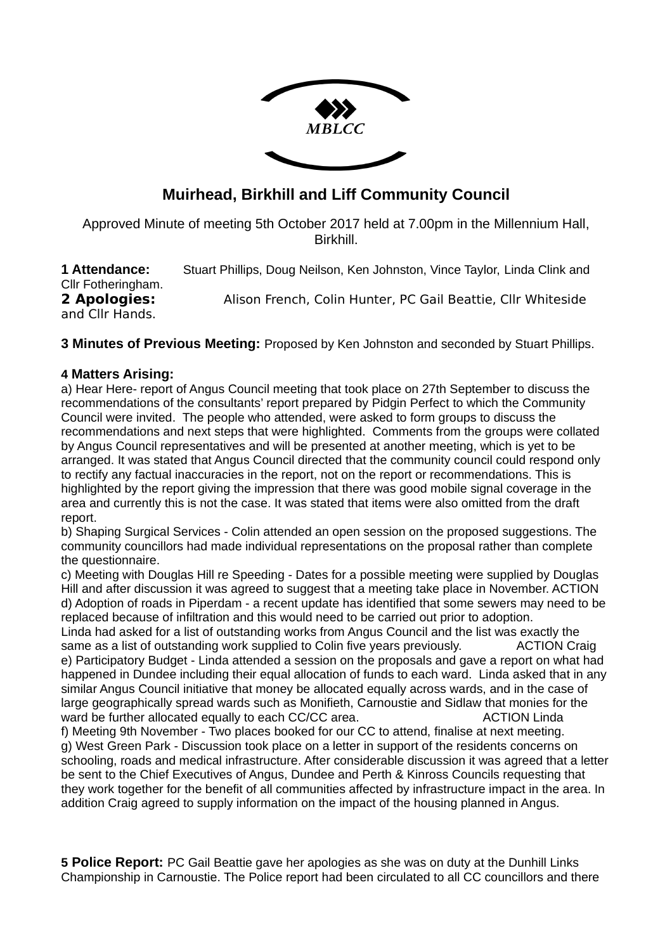

# **Muirhead, Birkhill and Liff Community Council**

Approved Minute of meeting 5th October 2017 held at 7.00pm in the Millennium Hall, Birkhill.

| 1 Attendance:      | Stuart Phillips, Doug Neilson, Ken Johnston, Vince Taylor, Linda Clink and |
|--------------------|----------------------------------------------------------------------------|
| Cllr Fotheringham. |                                                                            |
| 2 Apologies:       | Alison French, Colin Hunter, PC Gail Beattie, Cllr Whiteside               |
| and Cllr Hands.    |                                                                            |

**3 Minutes of Previous Meeting:** Proposed by Ken Johnston and seconded by Stuart Phillips.

#### **4 Matters Arising:**

a) Hear Here- report of Angus Council meeting that took place on 27th September to discuss the recommendations of the consultants' report prepared by Pidgin Perfect to which the Community Council were invited. The people who attended, were asked to form groups to discuss the recommendations and next steps that were highlighted. Comments from the groups were collated by Angus Council representatives and will be presented at another meeting, which is yet to be arranged. It was stated that Angus Council directed that the community council could respond only to rectify any factual inaccuracies in the report, not on the report or recommendations. This is highlighted by the report giving the impression that there was good mobile signal coverage in the area and currently this is not the case. It was stated that items were also omitted from the draft report.

b) Shaping Surgical Services - Colin attended an open session on the proposed suggestions. The community councillors had made individual representations on the proposal rather than complete the questionnaire.

c) Meeting with Douglas Hill re Speeding - Dates for a possible meeting were supplied by Douglas Hill and after discussion it was agreed to suggest that a meeting take place in November. ACTION d) Adoption of roads in Piperdam - a recent update has identified that some sewers may need to be replaced because of infiltration and this would need to be carried out prior to adoption.

Linda had asked for a list of outstanding works from Angus Council and the list was exactly the same as a list of outstanding work supplied to Colin five years previously. ACTION Craig e) Participatory Budget - Linda attended a session on the proposals and gave a report on what had happened in Dundee including their equal allocation of funds to each ward. Linda asked that in any similar Angus Council initiative that money be allocated equally across wards, and in the case of large geographically spread wards such as Monifieth, Carnoustie and Sidlaw that monies for the ward be further allocated equally to each CC/CC area. ACTION Linda

f) Meeting 9th November - Two places booked for our CC to attend, finalise at next meeting. g) West Green Park - Discussion took place on a letter in support of the residents concerns on schooling, roads and medical infrastructure. After considerable discussion it was agreed that a letter be sent to the Chief Executives of Angus, Dundee and Perth & Kinross Councils requesting that they work together for the benefit of all communities affected by infrastructure impact in the area. In addition Craig agreed to supply information on the impact of the housing planned in Angus.

**5 Police Report:** PC Gail Beattie gave her apologies as she was on duty at the Dunhill Links Championship in Carnoustie. The Police report had been circulated to all CC councillors and there